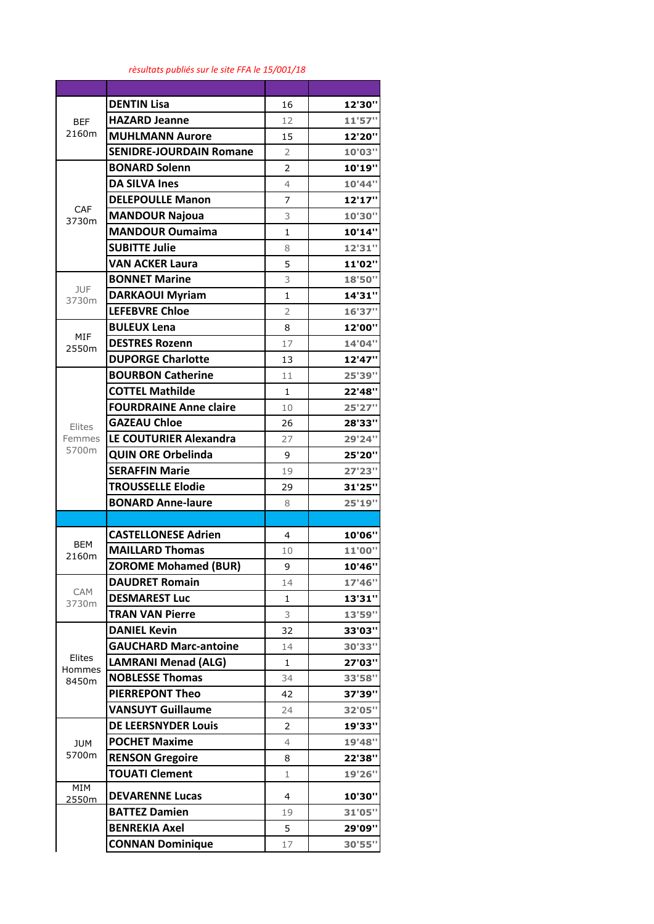## *rèsultats publiés sur le site FFA le 15/001/18*

| <b>BEF</b><br>2160m       | <b>DENTIN Lisa</b>             | 16             | 12'30" |
|---------------------------|--------------------------------|----------------|--------|
|                           | <b>HAZARD Jeanne</b>           | 12             | 11'57" |
|                           | <b>MUHLMANN Aurore</b>         | 15             | 12'20" |
|                           | <b>SENIDRE-JOURDAIN Romane</b> | $\overline{2}$ | 10'03" |
| CAF<br>3730m              | <b>BONARD Solenn</b>           | 2              | 10'19" |
|                           | <b>DA SILVA Ines</b>           | 4              | 10'44" |
|                           | <b>DELEPOULLE Manon</b>        | $\overline{7}$ | 12'17" |
|                           | <b>MANDOUR Najoua</b>          | 3              | 10'30" |
|                           | <b>MANDOUR Oumaima</b>         | $\mathbf{1}$   | 10'14" |
|                           | <b>SUBITTE Julie</b>           | 8              | 12'31" |
|                           | <b>VAN ACKER Laura</b>         | 5              | 11'02" |
|                           | <b>BONNET Marine</b>           | 3              | 18'50" |
| <b>JUF</b><br>3730m       | <b>DARKAOUI Myriam</b>         | $\mathbf{1}$   | 14'31" |
|                           | <b>LEFEBVRE Chloe</b>          | $\overline{2}$ | 16'37" |
|                           | <b>BULEUX Lena</b>             | 8              | 12'00" |
| MIF<br>2550m              | <b>DESTRES Rozenn</b>          | 17             | 14'04" |
|                           | <b>DUPORGE Charlotte</b>       | 13             | 12'47" |
|                           | <b>BOURBON Catherine</b>       | 11             | 25'39" |
| Elites<br>Femmes          | <b>COTTEL Mathilde</b>         | $\mathbf{1}$   | 22'48" |
|                           | <b>FOURDRAINE Anne claire</b>  | 10             | 25'27" |
|                           | <b>GAZEAU Chloe</b>            | 26             | 28'33" |
|                           | LE COUTURIER Alexandra         | 27             | 29'24" |
| 5700m                     | <b>QUIN ORE Orbelinda</b>      | 9              | 25'20" |
|                           | <b>SERAFFIN Marie</b>          | 19             | 27'23" |
|                           | <b>TROUSSELLE Elodie</b>       | 29             | 31'25" |
|                           | <b>BONARD Anne-laure</b>       | 8              | 25'19" |
|                           |                                |                |        |
| <b>BEM</b>                | <b>CASTELLONESE Adrien</b>     | 4              | 10'06" |
| 2160m                     | <b>MAILLARD Thomas</b>         | 10             | 11'00" |
|                           | <b>ZOROME Mohamed (BUR)</b>    | 9              | 10'46" |
| CAM                       | <b>DAUDRET Romain</b>          | 14             | 17'46" |
| 3730m                     | <b>DESMAREST Luc</b>           | 1              | 13'31" |
|                           | <b>TRAN VAN Pierre</b>         | 3              | 13'59" |
| Elites<br>Hommes<br>8450m | <b>DANIEL Kevin</b>            | 32             | 33'03" |
|                           | <b>GAUCHARD Marc-antoine</b>   | 14             | 30'33" |
|                           | <b>LAMRANI Menad (ALG)</b>     | 1              | 27'03" |
|                           | <b>NOBLESSE Thomas</b>         | 34             | 33'58" |
|                           | <b>PIERREPONT Theo</b>         | 42             | 37'39" |
|                           | <b>VANSUYT Guillaume</b>       | 24             | 32'05" |
| <b>JUM</b><br>5700m       | <b>DE LEERSNYDER Louis</b>     | 2              | 19'33" |
|                           | <b>POCHET Maxime</b>           | 4              | 19'48" |
|                           | <b>RENSON Gregoire</b>         | 8              | 22'38" |
|                           | <b>TOUATI Clement</b>          | 1              | 19'26" |
| MIM<br>2550m              | <b>DEVARENNE Lucas</b>         | 4              | 10'30" |
|                           | <b>BATTEZ Damien</b>           | 19             | 31'05" |
|                           | <b>BENREKIA Axel</b>           | 5              | 29'09" |
|                           | <b>CONNAN Dominique</b>        | 17             | 30'55" |